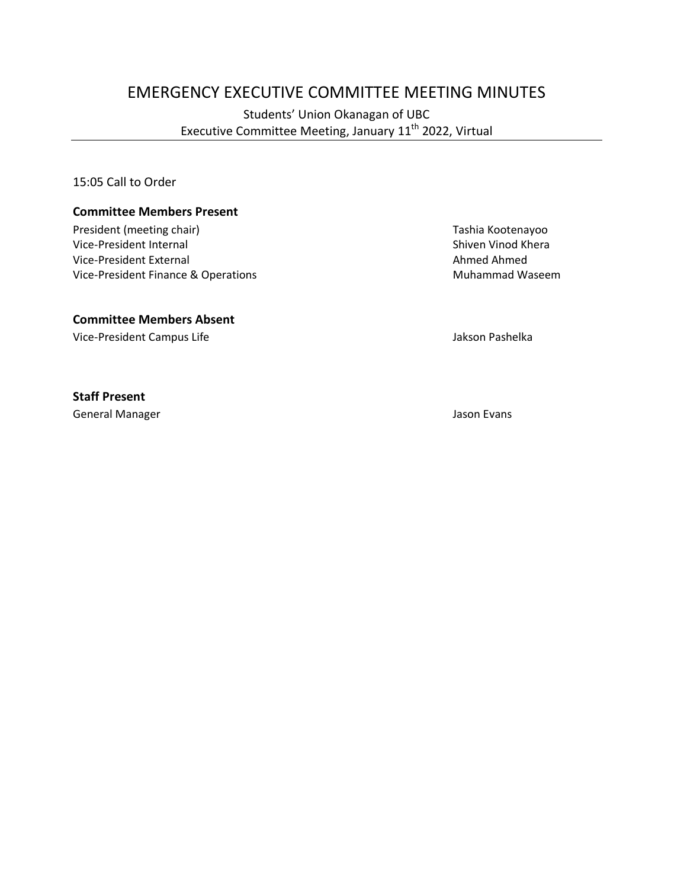# EMERGENCY EXECUTIVE COMMITTEE MEETING MINUTES

Students' Union Okanagan of UBC Executive Committee Meeting, January 11<sup>th</sup> 2022, Virtual

15:05 Call to Order

#### **Committee Members Present**

President (meeting chair) Tashia Kootenayoo Vice-President Internal and Shiven Vinod Khera<br>
Vice-President External and Shiven Vinod Khera<br>
Shiven Vinod Khera<br>
Ahmed Ahmed Vice-President External Vice-President Finance & Operations Muhammad Waseem

#### **Committee Members Absent**

Vice-President Campus Life **Jakson Pashelka** 

**Staff Present**

General Manager Jason Evans